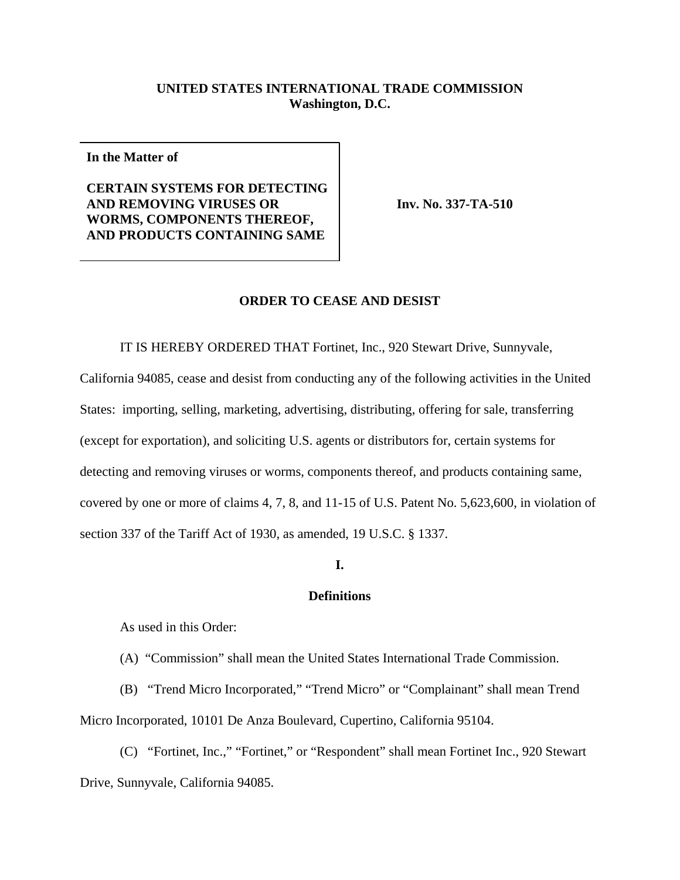# **UNITED STATES INTERNATIONAL TRADE COMMISSION Washington, D.C.**

**In the Matter of**

**CERTAIN SYSTEMS FOR DETECTING AND REMOVING VIRUSES OR WORMS, COMPONENTS THEREOF, AND PRODUCTS CONTAINING SAME** 

**Inv. No. 337-TA-510**

# **ORDER TO CEASE AND DESIST**

IT IS HEREBY ORDERED THAT Fortinet, Inc., 920 Stewart Drive, Sunnyvale, California 94085, cease and desist from conducting any of the following activities in the United States: importing, selling, marketing, advertising, distributing, offering for sale, transferring (except for exportation), and soliciting U.S. agents or distributors for, certain systems for detecting and removing viruses or worms, components thereof, and products containing same, covered by one or more of claims 4, 7, 8, and 11-15 of U.S. Patent No. 5,623,600, in violation of section 337 of the Tariff Act of 1930, as amended, 19 U.S.C. § 1337.

# **I.**

## **Definitions**

As used in this Order:

(A) "Commission" shall mean the United States International Trade Commission.

(B) "Trend Micro Incorporated," "Trend Micro" or "Complainant" shall mean Trend Micro Incorporated, 10101 De Anza Boulevard, Cupertino, California 95104.

(C) "Fortinet, Inc.," "Fortinet," or "Respondent" shall mean Fortinet Inc., 920 Stewart Drive, Sunnyvale, California 94085.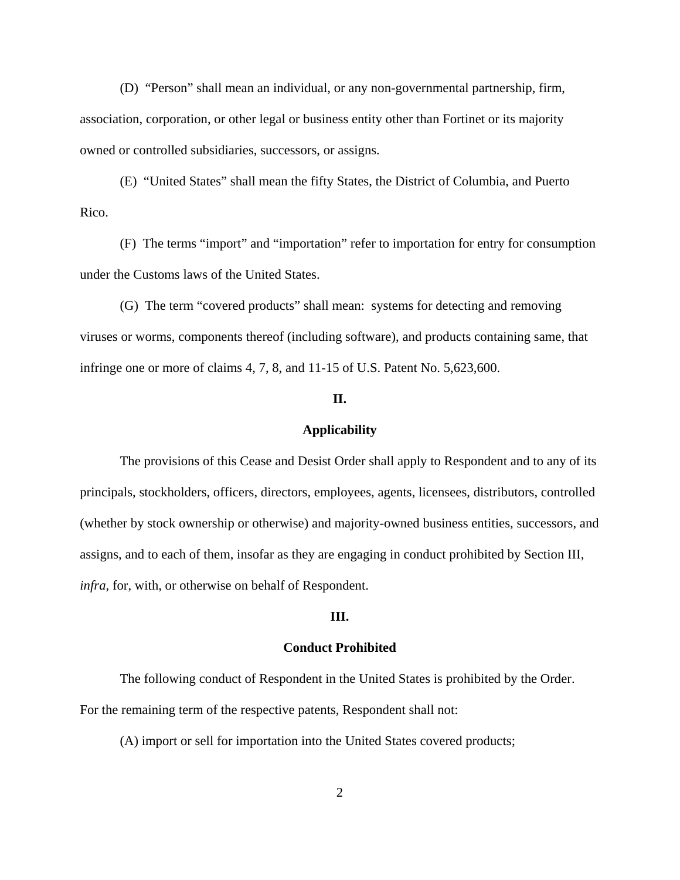(D) "Person" shall mean an individual, or any non-governmental partnership, firm, association, corporation, or other legal or business entity other than Fortinet or its majority owned or controlled subsidiaries, successors, or assigns.

(E) "United States" shall mean the fifty States, the District of Columbia, and Puerto Rico.

(F) The terms "import" and "importation" refer to importation for entry for consumption under the Customs laws of the United States.

(G) The term "covered products" shall mean: systems for detecting and removing viruses or worms, components thereof (including software), and products containing same, that infringe one or more of claims 4, 7, 8, and 11-15 of U.S. Patent No. 5,623,600.

# **II.**

### **Applicability**

The provisions of this Cease and Desist Order shall apply to Respondent and to any of its principals, stockholders, officers, directors, employees, agents, licensees, distributors, controlled (whether by stock ownership or otherwise) and majority-owned business entities, successors, and assigns, and to each of them, insofar as they are engaging in conduct prohibited by Section III, *infra*, for, with, or otherwise on behalf of Respondent.

## **III.**

## **Conduct Prohibited**

The following conduct of Respondent in the United States is prohibited by the Order.

For the remaining term of the respective patents, Respondent shall not:

(A) import or sell for importation into the United States covered products;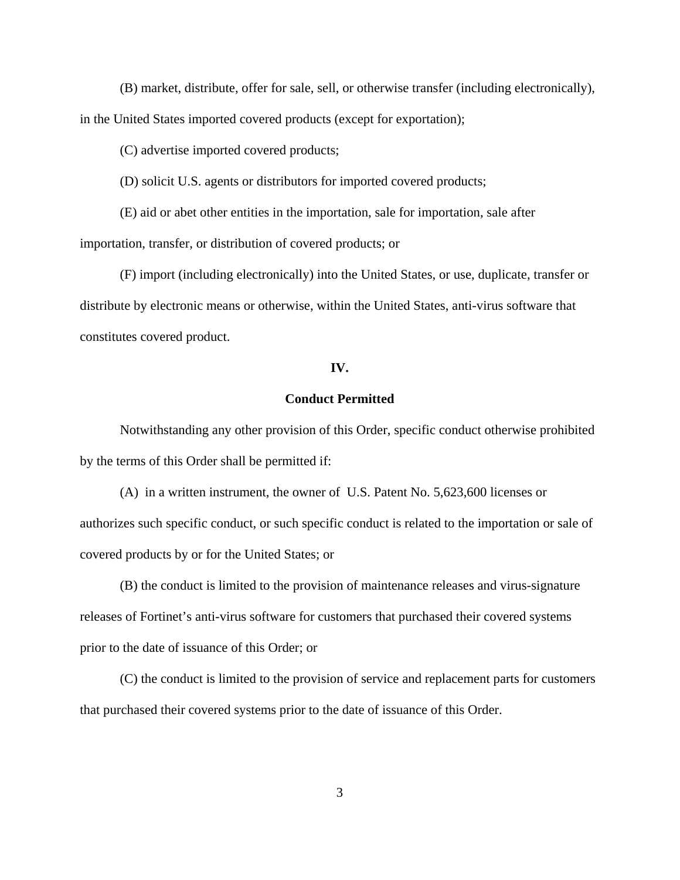(B) market, distribute, offer for sale, sell, or otherwise transfer (including electronically), in the United States imported covered products (except for exportation);

(C) advertise imported covered products;

(D) solicit U.S. agents or distributors for imported covered products;

(E) aid or abet other entities in the importation, sale for importation, sale after importation, transfer, or distribution of covered products; or

(F) import (including electronically) into the United States, or use, duplicate, transfer or distribute by electronic means or otherwise, within the United States, anti-virus software that constitutes covered product.

# **IV.**

# **Conduct Permitted**

Notwithstanding any other provision of this Order, specific conduct otherwise prohibited by the terms of this Order shall be permitted if:

(A) in a written instrument, the owner of U.S. Patent No. 5,623,600 licenses or authorizes such specific conduct, or such specific conduct is related to the importation or sale of covered products by or for the United States; or

(B) the conduct is limited to the provision of maintenance releases and virus-signature releases of Fortinet's anti-virus software for customers that purchased their covered systems prior to the date of issuance of this Order; or

(C) the conduct is limited to the provision of service and replacement parts for customers that purchased their covered systems prior to the date of issuance of this Order.

3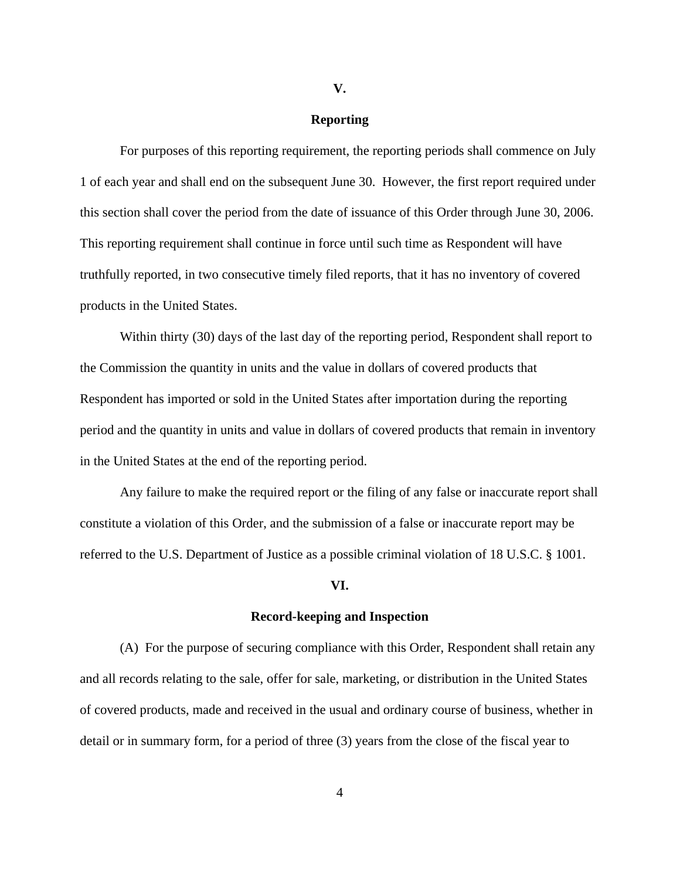### **Reporting**

For purposes of this reporting requirement, the reporting periods shall commence on July 1 of each year and shall end on the subsequent June 30. However, the first report required under this section shall cover the period from the date of issuance of this Order through June 30, 2006. This reporting requirement shall continue in force until such time as Respondent will have truthfully reported, in two consecutive timely filed reports, that it has no inventory of covered products in the United States.

Within thirty (30) days of the last day of the reporting period, Respondent shall report to the Commission the quantity in units and the value in dollars of covered products that Respondent has imported or sold in the United States after importation during the reporting period and the quantity in units and value in dollars of covered products that remain in inventory in the United States at the end of the reporting period.

Any failure to make the required report or the filing of any false or inaccurate report shall constitute a violation of this Order, and the submission of a false or inaccurate report may be referred to the U.S. Department of Justice as a possible criminal violation of 18 U.S.C. § 1001.

### **VI.**

## **Record-keeping and Inspection**

(A) For the purpose of securing compliance with this Order, Respondent shall retain any and all records relating to the sale, offer for sale, marketing, or distribution in the United States of covered products, made and received in the usual and ordinary course of business, whether in detail or in summary form, for a period of three (3) years from the close of the fiscal year to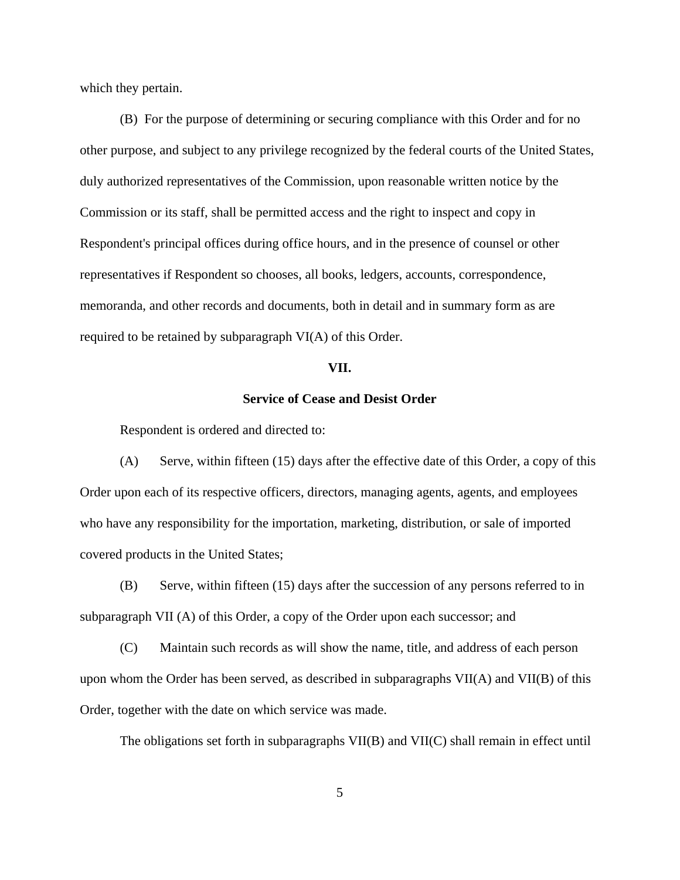which they pertain.

(B) For the purpose of determining or securing compliance with this Order and for no other purpose, and subject to any privilege recognized by the federal courts of the United States, duly authorized representatives of the Commission, upon reasonable written notice by the Commission or its staff, shall be permitted access and the right to inspect and copy in Respondent's principal offices during office hours, and in the presence of counsel or other representatives if Respondent so chooses, all books, ledgers, accounts, correspondence, memoranda, and other records and documents, both in detail and in summary form as are required to be retained by subparagraph VI(A) of this Order.

# **VII.**

### **Service of Cease and Desist Order**

Respondent is ordered and directed to:

(A) Serve, within fifteen (15) days after the effective date of this Order, a copy of this Order upon each of its respective officers, directors, managing agents, agents, and employees who have any responsibility for the importation, marketing, distribution, or sale of imported covered products in the United States;

(B) Serve, within fifteen (15) days after the succession of any persons referred to in subparagraph VII (A) of this Order, a copy of the Order upon each successor; and

(C) Maintain such records as will show the name, title, and address of each person upon whom the Order has been served, as described in subparagraphs VII(A) and VII(B) of this Order, together with the date on which service was made.

The obligations set forth in subparagraphs VII(B) and VII(C) shall remain in effect until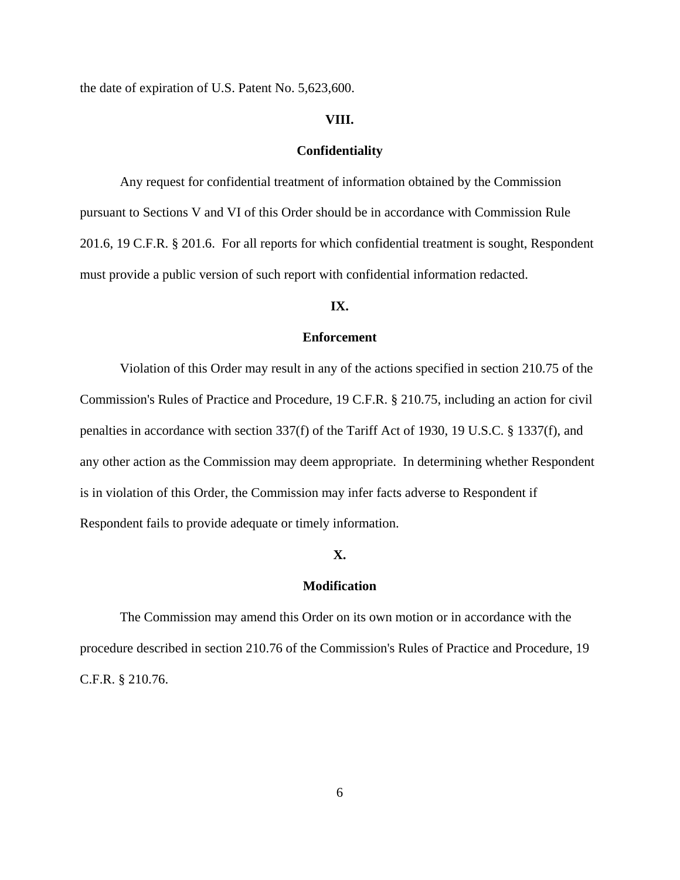the date of expiration of U.S. Patent No. 5,623,600.

#### **VIII.**

#### **Confidentiality**

Any request for confidential treatment of information obtained by the Commission pursuant to Sections V and VI of this Order should be in accordance with Commission Rule 201.6, 19 C.F.R. § 201.6. For all reports for which confidential treatment is sought, Respondent must provide a public version of such report with confidential information redacted.

## **IX.**

#### **Enforcement**

Violation of this Order may result in any of the actions specified in section 210.75 of the Commission's Rules of Practice and Procedure, 19 C.F.R. § 210.75, including an action for civil penalties in accordance with section 337(f) of the Tariff Act of 1930, 19 U.S.C. § 1337(f), and any other action as the Commission may deem appropriate. In determining whether Respondent is in violation of this Order, the Commission may infer facts adverse to Respondent if Respondent fails to provide adequate or timely information.

### **X.**

# **Modification**

The Commission may amend this Order on its own motion or in accordance with the procedure described in section 210.76 of the Commission's Rules of Practice and Procedure, 19 C.F.R. § 210.76.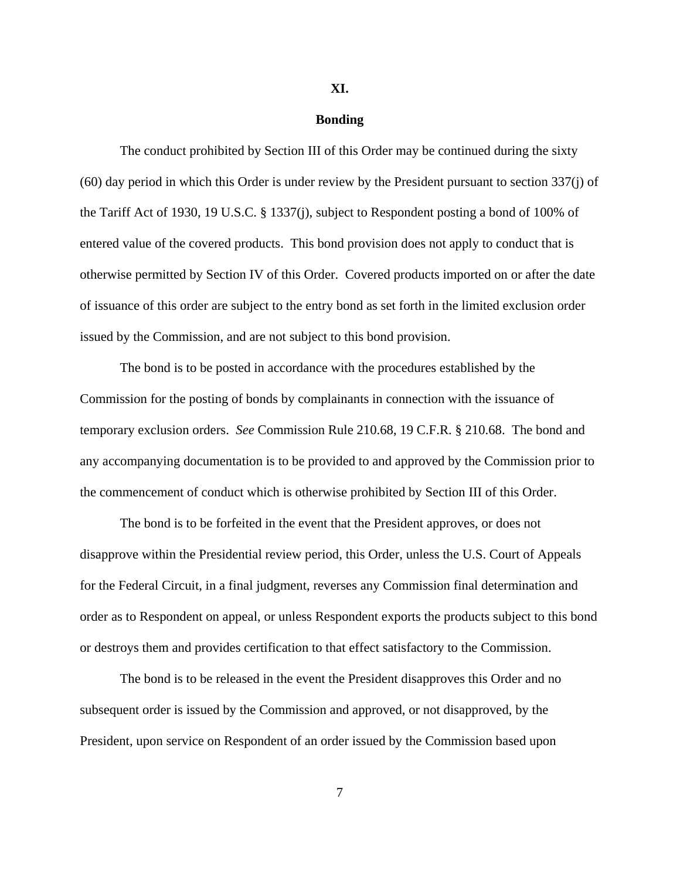### **XI.**

### **Bonding**

The conduct prohibited by Section III of this Order may be continued during the sixty (60) day period in which this Order is under review by the President pursuant to section 337(j) of the Tariff Act of 1930, 19 U.S.C. § 1337(j), subject to Respondent posting a bond of 100% of entered value of the covered products. This bond provision does not apply to conduct that is otherwise permitted by Section IV of this Order. Covered products imported on or after the date of issuance of this order are subject to the entry bond as set forth in the limited exclusion order issued by the Commission, and are not subject to this bond provision.

The bond is to be posted in accordance with the procedures established by the Commission for the posting of bonds by complainants in connection with the issuance of temporary exclusion orders. *See* Commission Rule 210.68, 19 C.F.R. § 210.68. The bond and any accompanying documentation is to be provided to and approved by the Commission prior to the commencement of conduct which is otherwise prohibited by Section III of this Order.

The bond is to be forfeited in the event that the President approves, or does not disapprove within the Presidential review period, this Order, unless the U.S. Court of Appeals for the Federal Circuit, in a final judgment, reverses any Commission final determination and order as to Respondent on appeal, or unless Respondent exports the products subject to this bond or destroys them and provides certification to that effect satisfactory to the Commission.

The bond is to be released in the event the President disapproves this Order and no subsequent order is issued by the Commission and approved, or not disapproved, by the President, upon service on Respondent of an order issued by the Commission based upon